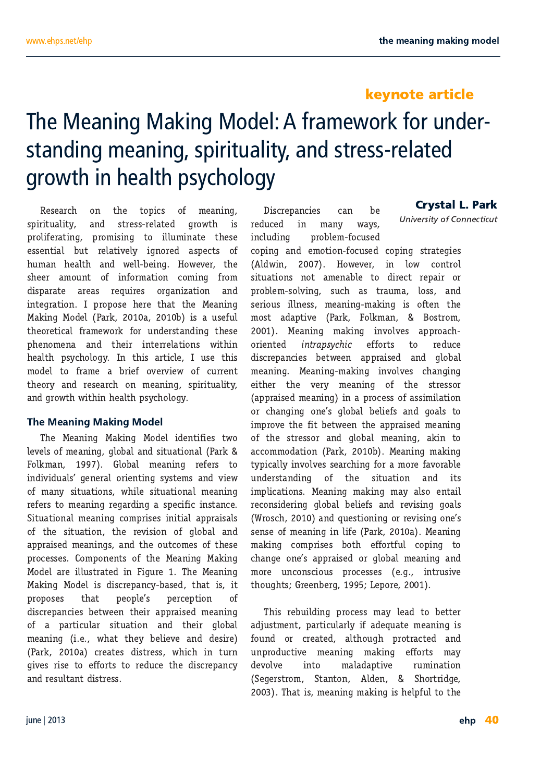# $\frac{9}{9}$  "% & # (\$ - & " & +% (  $(*)$  % % \$ % % )' (\*+ #\*/ % )\*( )) (#\*  $(8 - * 96 + ')/848$

 $.$ < $1$ < $81$ :? FE K< KFG@J F= D< $8E$ ( $E$ > JG@@L8O@P8E;  $JK<sub>1</sub>JK<sub>2</sub>JK<sub>3</sub>$  >FNK  $Q<sub>1</sub>K<sub>2</sub>K<sub>3</sub>$ GFOGKISKOS GFDQOS KF QOLDOBSK KK-UK <U<EK®C 9LK K®K®KCP @EFI<, 8JG<KJ F= ?LD8E ?<808 8E; N<009<08> "FN<1041 K< J?<< 8DFLEK F= @EFID8K@E :FD@S =IFD ; @GBI8K< 81<8J I<HL@KJ FI>8E@BK@E 8E; **@KOI8K@E** # GFGFJ< ?<< KP8K KP< '<BE@D '8BOE>'F:<C \*8IB 8 9 @ 8 LJ<=LC DFJK 8:8GKOOk \*8IB FOED8E K-FI-K@BC = 8D-<NFIB = FILE; <IJK8E; @ K-<JK GREFDER 8E: KR<@ @KHKSK@EJN@R@ ?<8082 GIP. ?FOE>P #E K?@ 81K@G # LJ< K?@  $DF: C \nsubseteq H$   $\exists 8D < 8$  91@ FMHM@N F = : LII < EK K-<FIP 8E; I<J<81:? FE D<8E@E> JG@@1280@P 8E: > FNK N@ @ ?<80K GIP ? FOE>P

GIVEO F=D<8E@E> >CF98C8E; J@L8K@E8C \*8IB **FORD SE** ! CF98C D<8E ® l<=< J KF **@: @@L80 >E<18CFI @EK@D JPJKEDJ 8E: M@N** F = D8EP JOL8K CELJ N? @ JOL8K CEE8C D<8E @ I<<<IJKFD<8E@E>I<8I; @E>8 JG<<<br/>@@ @EJK8E:< - @L8K@E8CD<8E@S:FDG@<J@E@@C8GG8@BQ  $F = K < \sqrt{64.8K \cdot 6E}$   $K < \sqrt{64.8 \cdot 6E}$   $F = \sqrt{698C \cdot 8E}$ 8038QK D<8EQEJ 8E; K<FLKFD<JF=K<k GF:< UKJ FDGFE<EKJF=K?< '< 8E < BB '8B  $'$  F; < C8 I< QQLJK8K<;  $\circledR$  QLI<  $?$ < '< 8E $\circledR$ '8BOE> 'F;<CQD;QUI<G8E:P98J< K?8KQDQ8 GFGFJKJ KOSK GKFGGKJ GKI:<GK@EF : @ 1<GSE: @ 1 9<KN<<E K <@ 8GG38@< D<8E@ F= 8 G81 KQLQ31 JQL8KQEE 8E; K<Q2 >CF98C 8;ALJKO<EK G81 KQLQ31 CP @ 8;<HL8K<D<8E@E> Q2  $D \triangleleft E$  ( $D$   $\triangleleft E$   $R$   $R$   $\triangleleft P$   $S$   $\triangleleft R$   $S$   $E$   $S$   $\triangleleft R$   $S$ \*81B 8 :1<8K=J;@M<JJ N?@?@EKLIE >QQkJIQk KF<==FIKJKFI<L:<K?<;QUI<G3E:P;<MFQ0k 8E; I<JL088EK; @K<JJ

 $' - ()$  " '!  $Q2$ |<GBE: $Q2$ | :8E 9< **@E** D8EP N8PJ  $\circledR$   $\circledR$   $\circledR$ GF9GD f: LJ< : FG® 8E; <DFK®E = F: LJ<; : FG® JK8K<>@J CN® "FN<M4 @ GEN : FEKIFC JOL8KOELJ EFK 8D<E89G< KF; OCK I<G8@ FI GF9GD JFCM® JL:? 8J K8LD8 GFJJ 8E; JU QUI QUE<U D<BE<B>D8B<B> Q F=K<E K< **FJKFD**  $.386857=(-.(-1.49)$  KF  $1 < L <$  $H@EK$ ; @ 1<GSE: @ J 9<KN<<E 8GG18@ < 8E; > CF98C D<8E@E> '<8E@E>D8B@E> @ENFOLAJ:?8E>@E> 8GG8Q <BCCD <BCCD <BCF:<UF=8UQDQBK@E FI: ?8E>®> FE<J > \$98C 9<000=J 8E; >F80 KF @GFN: KY<=@9<M<<EKY<8GG8@<D<8E@ F= K< JK<JJF1 8E; > JE98C D<8E @ 8B @ KF 8: FDDF; 8K@E \*8IB 9 '<8E@E>D8B@E> KPG@BOCP @ENFOLAJJ<81:? @S =F1 8 DF1< =BNF189G<  $LE: dJRSE: 1000 \t\t F = R < JQL8K0E E 8E: 1000 \t\t \nE = 1000 \t\t \nE = 1000 \t\t \nE = 1000 \t\t \nE = 1000 \t\t \nE = 1000 \t\t \nE = 1000 \t\t \nE = 1000 \t\t \nE = 1000 \t\t \nE = 1000 \t\t \nE = 1000 \t\t \nE = 1000 \t\t \nE = 1000 \t\t \nE = 1000 \t\t \nE = 1000 \t\t \nE = 1000 \t\t \$ @GO28K@EJ '<8E@S D8B@S D8P 8OF<EK8@ I<FEJ@<I @S > \$98C 9<02=J 8E; I<MQD > >F80  $1$  IFJ:  $?$ 8E: HL<JK@E@SFII<MQ@SFE<J JEK F=D<8E<sup>®</sup> @ @ \*8IB 8 '<BE<br />
6 '<BE<br />
6 '<BE<br />
6 <br />
6 <br />
6 <br />
6 <br />
6 <br />
6 <br />
6 <br />
6 <br />
6 <br />
6 <br />
6 <br />
6 <br />
6 <br />
6 <br />
6 <br />
6 <br />
6 <br />
6 <br />
6 <br />
6 <br />
6 D8B® : FDG @ <J 9FK <= FIK+LC : FG® KF : ?8E >< FE<J 8GGB@ FI > FG98CD<8E@ 8E;  $DF < 1.2$  FEJ: (BLJ  $GF < J < J < 2$ **EEKLJOOK**  $RPL > ?K$   $| \ll E9 <$  $&$   $F$   $&$ 

 $. ? @$  I < 9 L  $@$   $@>$  G F: < U D8P  $@$ 8; KF 9 < KK FLE: FI: 1<8K< 80XPL>? GFM8:K< 8E: LEGF: L:KOOK: D<8E@D> D8B@D> <=FIKJ D8P **@HF** D8C8; 8GKQ04: ILD @BK@E  $\ll$  JKFD  $-$  K8EKFE  $C \leftarrow$  $-?$ FIK  $@<$ .  $?8K@D<8E@D>BB@D@?$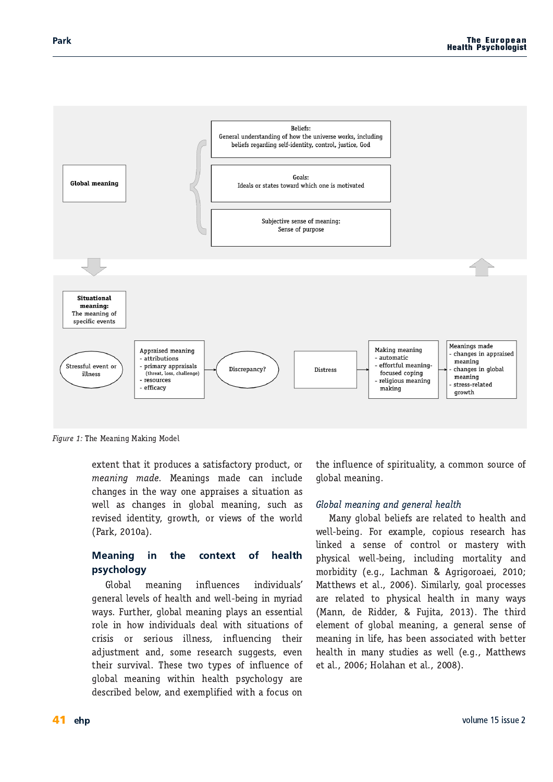

Figure 1: The Meaning Making Model

extent that it produces a satisfactory product, or meaning made. Meanings made can include changes in the way one appraises a situation as well as changes in global meaning, such as revised identity, growth, or views of the world (Park, 2010a).

#### **Meaning** in the context  $\alpha$ f health psychology

Global meaning influences individuals' general levels of health and well-being in myriad ways. Further, global meaning plays an essential role in how individuals deal with situations of crisis or serious illness, influencing their adjustment and, some research suggests, even their survival. These two types of influence of global meaning within health psychology are described below, and exemplified with a focus on

the influence of spirituality, a common source of qlobal meaning.

## Global meaning and general health

Many global beliefs are related to health and well-being. For example, copious research has linked a sense of control or mastery with physical well-being, including mortality and morbidity (e.g., Lachman & Agrigoroaei, 2010; Matthews et al., 2006). Similarly, goal processes are related to physical health in many ways (Mann, de Ridder, & Fujita, 2013). The third element of global meaning, a general sense of meaning in life, has been associated with better health in many studies as well (e.g., Matthews et al., 2006; Holahan et al., 2008).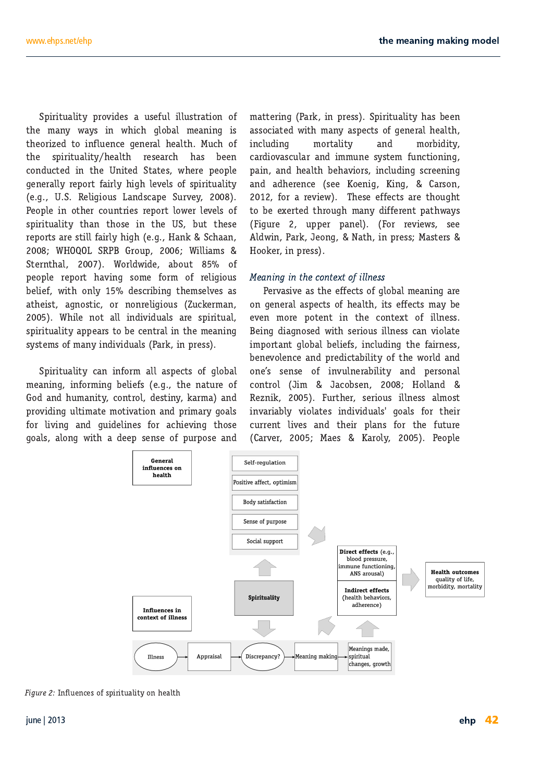Spirituality provides a useful illustration of the many ways in which global meaning is theorized to influence general health. Much of the spirituality/health research has been conducted in the United States, where people generally report fairly high levels of spirituality (e.g., U.S. Religious Landscape Survey, 2008). People in other countries report lower levels of spirituality than those in the US, but these reports are still fairly high (e.g., Hank & Schaan, 2008; WHOQOL SRPB Group, 2006; Williams & Sternthal, 2007). Worldwide, about 85% of people report having some form of religious belief, with only 15% describing themselves as atheist, agnostic, or nonreligious (Zuckerman, 2005). While not all individuals are spiritual, spirituality appears to be central in the meaning systems of many individuals (Park, in press).

Spirituality can inform all aspects of global meaning, informing beliefs (e.g., the nature of God and humanity, control, destiny, karma) and providing ultimate motivation and primary goals for living and quidelines for achieving those goals, along with a deep sense of purpose and mattering (Park, in press). Spirituality has been associated with many aspects of general health, including mortality and morbidity, cardiovascular and immune system functioning, pain, and health behaviors, including screening and adherence (see Koenig, King, & Carson, 2012, for a review). These effects are thought to be exerted through many different pathways (Figure 2, upper panel). (For reviews, see Aldwin, Park, Jeong, & Nath, in press; Masters & Hooker, in press).

## Meaning in the context of illness

Pervasive as the effects of global meaning are on general aspects of health, its effects may be even more potent in the context of illness. Being diagnosed with serious illness can violate important global beliefs, including the fairness, benevolence and predictability of the world and one's sense of invulnerability and personal control (Jim & Jacobsen, 2008; Holland & Reznik, 2005). Further, serious illness almost invariably violates individuals' goals for their current lives and their plans for the future (Carver, 2005; Maes & Karoly, 2005). People



Figure 2: Influences of spirituality on health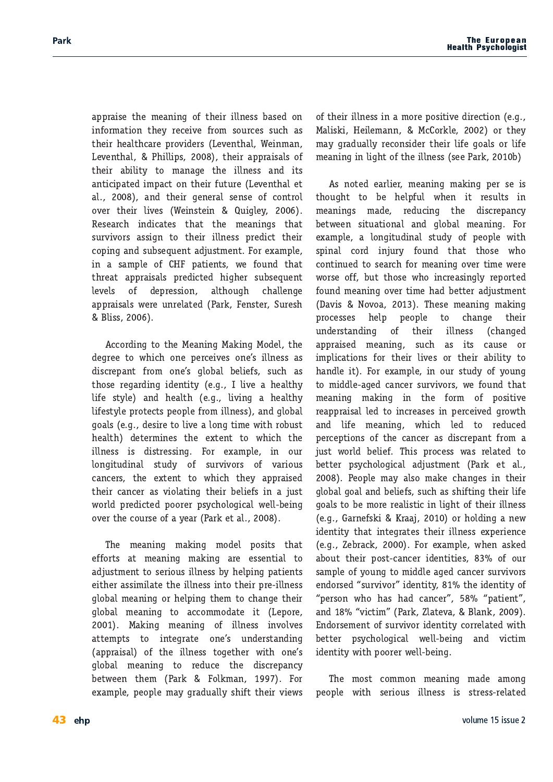appraise the meaning of their illness based on information they receive from sources such as their healthcare providers (Leventhal, Weinman, Leventhal, & Phillips, 2008), their appraisals of their ability to manage the illness and its anticipated impact on their future (Leventhal et al., 2008), and their general sense of control over their lives (Weinstein & Quigley, 2006). Research indicates that the meanings that survivors assign to their illness predict their coping and subsequent adjustment. For example, in a sample of CHF patients, we found that threat appraisals predicted higher subsequent of depression. levels although challenge appraisals were unrelated (Park, Fenster, Suresh & Bliss, 2006).

According to the Meaning Making Model, the degree to which one perceives one's illness as discrepant from one's global beliefs, such as those regarding identity (e.g., I live a healthy life style) and health (e.g., living a healthy lifestyle protects people from illness), and qlobal goals (e.g., desire to live a long time with robust health) determines the extent to which the illness is distressing. For example, in our longitudinal study of survivors of various cancers, the extent to which they appraised their cancer as violating their beliefs in a just world predicted poorer psychological well-being over the course of a year (Park et al., 2008).

The meaning making model posits that efforts at meaning making are essential to adjustment to serious illness by helping patients either assimilate the illness into their pre-illness global meaning or helping them to change their global meaning to accommodate it (Lepore, 2001). Making meaning of illness involves attempts to integrate one's understanding (appraisal) of the illness together with one's global meaning to reduce the discrepancy between them (Park & Folkman, 1997). For example, people may gradually shift their views

of their illness in a more positive direction (e.g., Maliski, Heilemann, & McCorkle, 2002) or they may gradually reconsider their life goals or life meaning in light of the illness (see Park, 2010b)

As noted earlier, meaning making per se is thought to be helpful when it results in meanings made, reducing the discrepancy between situational and global meaning. For example, a longitudinal study of people with spinal cord injury found that those who continued to search for meaning over time were worse off, but those who increasingly reported found meaning over time had better adjustment (Davis & Novoa, 2013). These meaning making processes help people to change their understanding of their illness (changed appraised meaning, such as its cause or implications for their lives or their ability to handle it). For example, in our study of young to middle-aged cancer survivors, we found that meaning making in the form of positive reappraisal led to increases in perceived growth and life meaning, which led to reduced perceptions of the cancer as discrepant from a just world belief. This process was related to better psychological adjustment (Park et al., 2008). People may also make changes in their global goal and beliefs, such as shifting their life goals to be more realistic in light of their illness (e.g., Garnefski & Kraaj, 2010) or holding a new identity that integrates their illness experience (e.g., Zebrack, 2000). For example, when asked about their post-cancer identities, 83% of our sample of young to middle aged cancer survivors endorsed "survivor" identity, 81% the identity of "person who has had cancer", 58% "patient", and 18% "victim" (Park, Zlateva, & Blank, 2009). Endorsement of survivor identity correlated with better psychological well-being and victim identity with poorer well-being.

The most common meaning made among people with serious illness is stress-related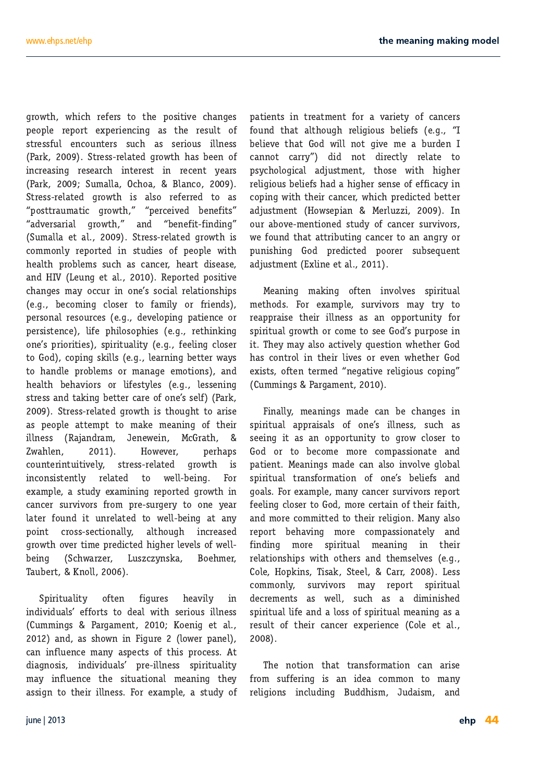growth, which refers to the positive changes people report experiencing as the result of stressful encounters such as serious illness (Park, 2009). Stress-related growth has been of increasing research interest in recent years (Park, 2009; Sumalla, Ochoa, & Blanco, 2009). Stress-related growth is also referred to as "posttraumatic growth." "perceived benefits" "adversarial growth," and "benefit-finding" (Sumalla et al., 2009). Stress-related growth is commonly reported in studies of people with health problems such as cancer, heart disease, and HIV (Leung et al., 2010). Reported positive changes may occur in one's social relationships (e.g., becoming closer to family or friends), personal resources (e.g., developing patience or persistence), life philosophies (e.g., rethinking one's priorities), spirituality (e.g., feeling closer to God), coping skills (e.g., learning better ways to handle problems or manage emotions), and health behaviors or lifestyles (e.g., lessening stress and taking better care of one's self) (Park, 2009). Stress-related growth is thought to arise as people attempt to make meaning of their illness (Rajandram, Jenewein, McGrath.  $8\phantom{1}$ Zwahlen,  $2011$ ). However, perhaps growth is counterintuitively, stress-related inconsistently related to well-being. For example, a study examining reported growth in cancer survivors from pre-surgery to one year later found it unrelated to well-being at any point cross-sectionally, although increased growth over time predicted higher levels of well-(Schwarzer, Luszczynska, beina Boehmer. Taubert, & Knoll, 2006).

figures Spirituality often heavily in individuals' efforts to deal with serious illness (Cummings & Pargament, 2010; Koenig et al., 2012) and, as shown in Figure 2 (lower panel), can influence many aspects of this process. At diagnosis, individuals' pre-illness spirituality may influence the situational meaning they assign to their illness. For example, a study of patients in treatment for a variety of cancers found that although religious beliefs (e.g., "I believe that God will not give me a burden I cannot carry") did not directly relate to psychological adjustment, those with higher religious beliefs had a higher sense of efficacy in coping with their cancer, which predicted better adiustment (Howsepian & Merluzzi, 2009). In our above-mentioned study of cancer survivors, we found that attributing cancer to an angry or punishing God predicted poorer subsequent adjustment (Exline et al., 2011).

Meaning making often involves spiritual methods. For example, survivors may try to reappraise their illness as an opportunity for spiritual growth or come to see God's purpose in it. They may also actively question whether God has control in their lives or even whether God exists, often termed "negative religious coping" (Cummings & Pargament, 2010).

Finally, meanings made can be changes in spiritual appraisals of one's illness, such as seeing it as an opportunity to grow closer to God or to become more compassionate and patient. Meanings made can also involve global spiritual transformation of one's beliefs and goals. For example, many cancer survivors report feeling closer to God, more certain of their faith, and more committed to their religion. Many also report behaving more compassionately and finding more spiritual meaning in their relationships with others and themselves (e.g., Cole, Hopkins, Tisak, Steel, & Carr, 2008). Less survivors may report spiritual commonly, decrements as well, such as a diminished spiritual life and a loss of spiritual meaning as a result of their cancer experience (Cole et al., 2008).

The notion that transformation can arise from suffering is an idea common to many religions including Buddhism, Judaism, and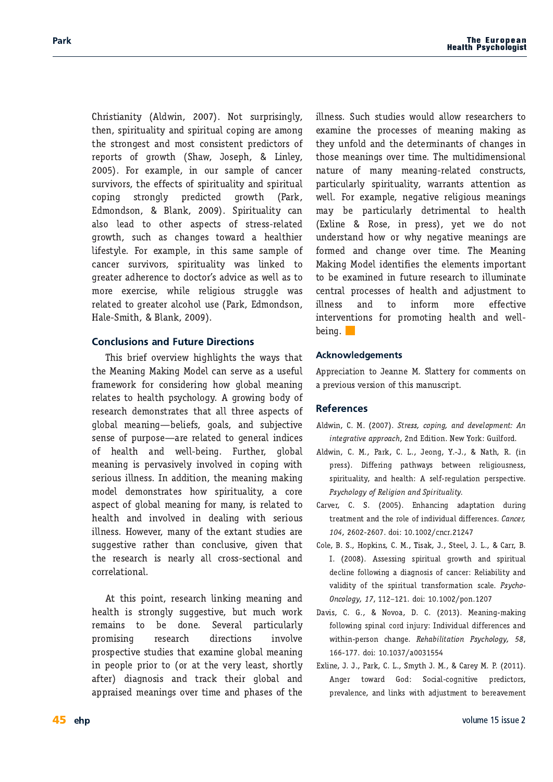$?$ I @K@E@P  $\quad C N @$ (FK JLIGI@ OD-OP K < LGQQQAL8CGQP 8E: JGQQQAL8C: FGQB> 81<8DFE> K<JKFE><JK8E: DFJK:FEJQKEKG<@FIJF= I<GFIKJF=>IFNK? -?8N \$FJ<G? &@EGP

FI < OBDGG< @ FLI J8DGG< F= : 8E: < JLIMMOTH JK<<=<KJF=JG@@L8O@P8E;JG@@L8C : FGO JKFESO  $G < Q K$  SIFNK \*81B  $\therefore$  DFE: JFE **CBEB** 80F G8: KF FK2 d 8JG<KJ F= JK<JJI<BK< >IFNK? JL:? 8J:?8E><J KFN81; 8 ?<808?@ CORUPC: FI<GBDGG: @ K?@ J8D< J8DGG: F= : 8E: < JLIM@IFIJ JG@@L8O@PN8J O@BK KF  $>1$  <8Kd 8;  $?$  < E: < KF; F: KFI J 8; MQ & 8J N < CC8J KF  $DF < 2$ d:  $Q$ k:  $N$ ?  $Q$ k:  $\leq Q$  $Q$  $Q$  $L$ . JK $L >>$  $R$ :  $N$  $S$ J I<BK< KF>I<BK<I 8CF?FCLJ< \*81B : DFE: JFE  $" 8G - D$ **C**SEB

 $. ?@91@ = FMHM@N ?@?@Q?KJK < \>N8PIK8K$ KY<' << BE << 8B << BE << SE << SE << SE << SE << SE << SE << SE << SE << SE << SE << SE << SE << SE << SE << SE <<<<<<<  $\exists$ 8D<NFIB $\pm$ T:FEJ@<I@B>?FN>GF98CD<8E@B> I<BKJKF?<BBXGP?FGF>P >IFN@E>9F;PF= >CF98CD<8E@E>V9<Qe=J>F8Q 8E: JL9A<KQQk JELK F= CLI CFJKV 81<1<CBK; KF ><E<18C@; @<J F= ?<8082 8E: N<0C9<@E> LIK2<d >0F98C D-8E@S @ G-INBU@KOP @ENFOLK: @:FG@S N@? J<1 (@LJ (@ E<JJ # E 8; ; @ @ E K < D < 8 E @ D 8 B @ > DF; <C; <DFEJK8K<J ?FN JG@@L8O@P 8: FI< 8JG<KF=>CF98CD<8E@E> =FID8EP @IK@K<KF ?<8032 8E; @ENF004<; @ :<80@E> N@ 3<! @ LJ **CCE<U** "FN<M4| D8EPF=K?<< OK8EKJKL: @U8|< JL>>JKWK 18K2<1 K28E : FE: CLJWK >WAE K28K K< I<br />k81:? @ E<8I @ 8C : IFJJ J<<<r K@E8C 8E; · FIL<BK@F8C

KKO GFOEK KK81:? GOEBOES D-8EOES 8E: ?<808 @ JKFE>@ JL>><JK@k 9LK DL:? NFIB I<D8@U KF 9< ; FE< -< AAH8C GBIK@LO3IOP GFD QOB  $|\leq |\leq 8|$  : ? :  $@<sub>k</sub>$  K $@<sub>k</sub>$ **@NFOX** GFJG<K@kJK: @JK8K<C8D@<>G58CD<8E@ **@ GEGGG@ KF FI 8KK < MHP G&JK J?FIKP** 8 Kd ; @SEFJ@ 8E; K8:B K < @ SG98C 8E; 80380 k D-8E@ J FM KOD < 8E; G ? 8J < J F = K <

**@E<U - L:? JK: @J NFLC 8CEN 1<J<81: ?<IJ KF** <CBD @< K'< GF: <LH<J F= D<BE @> D8B @> 8J K-P LE=FC 8E: K-: <K<ID @BEKIF=: ?BE><J @ KFK D<8E@ J FMd K@< .?< DL0K@@<EJ@E8C E8KLI< F= D8EP D<8E@DI<08K; : FEJKL:KJ GBIK@LGSIOP JG@@L8O@P N8II8EKJ8KK<EK@E 8J D8P 9< G81KQLQ31CP :< K1QD<EK8CKF ?< 8032 .FJ< @ G<JJ P<K N<:F EFK  $\text{CPE}$ LE; << JUSE; ?FN FI N?P E << SK@ k D << SE@ J 8I <  $+$  D< 8E: : ?8E $\times$  FMd KQD< . ?< ' <8E $\circledast$ '8BOE>' F;<C@<EK@@UK?<<GD<EKJ @DGFIK8EK KF9<<BD@< @ =LKLI<I<k8I:? KF @CLD@8K< :  $EMSCGF: < LLL = ? < 80R$   $8E: 8$ :  $A~JH$ O  $EK$  KF **COE<U 8E: KF CEFID DFI<<<<KOOK @KIMEK@EJ =FI GFDFK@> ?<8032 8E: N<0C**  $9<\bullet$ 

 $\mathbf{I}$ 

GGI< @K@EKF\$<8EE<' - @KK<IP = FI: FDD<EKJFE 8 G < MELJ MHJ EE F= K @ D 8 ELJ: I @ K

- .38°, 688: \* 855648(- E; ; 620EE (<N 3FIB! LOGFI;
- CNO ' \*8IB & \$<FE> 3 \$ (8K?, @  $d<\mu$ JGOO MUSCONE ?< 8002 J<G I << LOCK OF GE JUG KOOK  $7=(-414, =4+" * 1, .4383)$  #5.689818=
- $\mathcal{L}(\mathcal{L})$  and  $\mathcal{L}(\mathcal{L})$  $E$ ?8 $E$ :@ $\&$  8;8GK8K@E;LI@ $\&$ 8 MK K-8KD-EK8E; K2<IFG: F= @: @1@L8C; @ =<I <E: <J & 3(\*6 :  $F@Z$  $E1$
- FG: "FGB@EJ ' . @BB \$ -K<<C \$ &  $811$ JU<JU® JG@@L8C>IFNK? 8E; JG@@L8C  $#$ ;< 002< = FOCFN (B> 8; @SEFJ Q F= : 8E: < 1, < 0089 QQPP 8E; MBO@@PF=K<JG@@L8CK8EJFID8K@EJ:8Q<7=(-4  $T$  $3(44) =$ :  $F@Z$ **GFF**
- $8MQ$  $\sim 1$  $(FMF8)$ '⊲SE® D8B® FOCFNOS JGOBBC: FI; OBALIP #E; QUOL8C; @exi<E:<J8E; NO @ G<lJFE : ?8E  $\lt$  "\*- & .188843 7=(-414, = : F $@$ 8
- $OOEE < $ $ $ *8IB \& -DPN $ $ '$ 81< P' \* E>d KFN8I; !F; -F: @C: F>E@1004: G< @KFJ GI-<br />
GI-<br />
GI-<br />
SE; COEBJ NO2 8; ALJKD-<EK KF 9<1<8M<br />D-<EK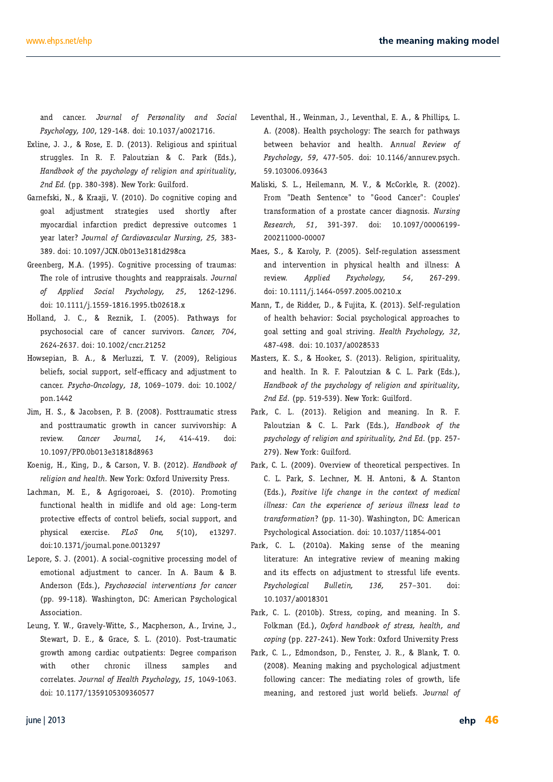$7=(-414, =$  ; F@ 8

- 0002< \$ \$, FJ< JKL>>GJ #E, \*8CFLKQ@E \*8IB :J 83)  $440$  4+8  $*$  57=( $-414$ ,  $= 4+6$  1, 43 83) 75.689818=  $3)$  ) GG  $($   $\triangleleft$   $\triangleleft$   $\triangleleft$   $\triangleleft$   $\triangleleft$   $\triangleleft$   $\triangleleft$   $\triangleleft$   $\triangleleft$   $\triangleleft$   $\triangleleft$   $\triangleleft$   $\triangleleft$   $\triangleleft$   $\triangleleft$   $\triangleleft$   $\triangleleft$   $\triangleleft$   $\triangleleft$   $\triangleleft$   $\triangleleft$   $\triangleleft$   $\triangleleft$   $\triangleleft$   $\triangleleft$   $\triangleleft$   $\triangleleft$   $\triangleleft$   $\triangleleft$   $\triangleleft$   $\triangleleft$   $\triangleleft$   $\triangleleft$   $\triangleleft$   $\triangle$
- >F8C 8: AUKD<EK JM8K<> @U LJ< J?FIKOP 84Kd  $DF: 81; 80C$   $6281: K6E$   $G < 6K$ ; < $G < U$   $6k$   $FLKFD < J$ P<8I C8K<I Z 4963&1 4+ &6) .4: &7(91&6 967.3, ?  $F@$
- $\sqrt{6}$  (9 < ; :8  $!$   $1 < E9 < 2$ . ?<IFG: F=@EKILJ@Uk: K?FL>?KJ8E;I<8GG18@BCJ 4963&1  $4+ 551^*$  #4(.81 7=(-414, = : F@Z
- $"F$  CCBE;  $$$ ,  $\triangleleft$  E  $#$  \*8KPN8PJ  $\Box$ FI GJP. ?FJF:  $C$ C :  $8$ I < F= :  $8$ E: <I JLIM $C$ FIJ  $83$ (\*6 ;  $FQZ$  $\Box$ : E: F
- "FNJ<G@EU GOD@LOOD . 0 ,<C@@LJ '&JK<lJ % "FFB<l ,<C@@EUGOD@L&C@P : 8E:  $d$  7=(-4 3(414, = Z T ; FOZ **GFE**
- \$02 " \$8:F9J<E \* \* FJKK18LD8K@JK<JJ \*8IB & 8E; GFJKK18LD8K@>IFNK? @ :8E:<I JLIM@UFIJ?@G I</a>
I</a>
d\/GN &3(\*6 4963&1 ;F@ \*\*) 9 < ;
- %F<E@ "%@D> 6'1, 43 & 3) - \* & 18 (< N 3FIB) OF T; / EQUAJORP \* I< JJ
- 88: ?D8E ' >I@FIF8<@-\*IFDFK@E> **±E:K@E8C?<80X @D@Q@ex 8E: FC 8** $\times$  **&FE>K<ID** GFK<K@k<=<KJF=:FEKIFC9<@@=JJF:@CJLGGFIK8E;  $GPJ@BC \leq Od$ :  $QkZ = 4\#$   $3^*$ ? :F@ FRLIE8OGFE<
- & GFI< \$ JF: @ C: F>E@ QX: GF: < JJ @ DF; < CF= <DFK@E8C8;ALJKD<EKKF:8E:<I#E 8LD E;  $\leq$  JFE;  $\leq$   $\neq$   $\leq$   $-474(.81.38^{\circ}6*38437*46(83(^{*}6)$  7=( $-414$ ,  $(81$  911°83 GG 18J? @E>KFE D<1@8E \*JP. ?FOF>@8C **JJF: @K@E**
- & LE> 3 1 ! ISMACP 1 @ K< '8: G? <IJFE #IM @ < \$ -K-N8IK ! 18:< - & \*FJKK18LD8K@  $>$  FNK? 8DFE $>$  : 81; @ FLKG8K@EKJ  $\leq$  < : FDG81 @FE NO2 FK-d: ?IFE@ QQE-<U J8DGGJ 8E: : FII<08K<JZ4963&14+ \*&18-7=(-414, = ?  $F@$
- 8E; : 8E: <1 4963&1 4+ \*6743&1&= &3) #4(.&1 &<NAEK?8C " 1<@D8E \$ &<NAEK?8C \*?@2@eJ & "<8082 GIP ?FOE>P, ?< J<81; ? =FI GBK?N8PJ , <0999LJ8E; JG19928C 9<4N<<E 9<?81V99 8E; ?<803? 33981 "\*:.\*; 4+  $7=(-414, =$  $; F@$ 8FFLI<MGIP?
- $'800B@-8$  "<02D8EE ' 0 ': FIBG , !81E⇔B@(%188A@0 F:F>E®@0k:FG®b8E; IFD <8K?-<EK<E:< KF !FF; 8E:<I FLGGJR  $M8E$ J $\mp$ ID8K@EF $= 8$ GIFJK8K<:8E:<1:@DEFJ@1967.3. " \*7\* 86(- $;$  F $@$ 
	- $8<1 \frac{9}{8}$ FCP \* -<G[1<>LOGK@E &U<JUD<EK F>EQQON: GF:<JU@E>F=KI8LD8J 8E;@PK-IN-KEK@E@EG?PJ@BC?<808?8E;@@E<JJ  $I \triangleleft N@N Z$  551<sup>\*</sup>) 7=(-414, = ?  $FQZ$  A  $\overline{O}$ 
		- F=?<8082 9<?81M图 F:@8CGJP.?FCF>@8C8GGJF8:?<JKF >F8CJ<KK@D>8E; >F8CJK1QX@D>Z \*&18 7=(-414,=? ZFQZ  $\overline{8}$
	- 9<02ed JF:08CJLGGFIKJ<6=<=028:P8E;8;ALJKD<EKKF 8E;?<8082 #E, \*80ELKOL@E & \*8IB;J  $83)'$  440 4+8  $*$  57=(-414, = 4+6 1, .43 83) 75.689818= 3)  $)$  GG  $($   $\triangleleft$  N 3FIB  $!$  L@FI;
		- , <<br/><br>@@FEE 8E; D<8E@E> #E, \*8GLKQ@E & \*8IB ; J &3)'440 4+ & \*  $57\text{=}(-414, = 4+6^{\circ}1, .4383)$  75.689818= 3) ) GG  $($  < N 3 FIB ! L@ FI:
		- 81 JFE 0 Z & 3)'440 4+ \*81 B & )NAI M@N F=K <FI<K@BCG<JJG<K@UkJ#E & \*81B - &<?E<1' " EKFE@ -K&EKFE  $;$  J 47.8:\* 1+\* (-83,\* .3 8 \* (438 + 84 + 2 \*). .113\*77 83 8 \* \*<5\*6\*3(\* 4+7\*6497 .113\*77 1\*8) 84 86837-4628843 GG 18J? @E>KFE D<1@BE \* JP. ?FCF>@BC JJF:@BK@EE;F@
			- \*81B & 8 '8BOES JÆJK F= K?< D<8EOES **ODECISKLI< E @EKSISKOOK I<M@EN F=D<8E@SDSB@S** 8E; @U <=< KJFE 8; ALJKD<EK KF JK<JJLC@R<M<EKJ T :F@  $\overline{8}$
			- \*81B & 9 KI<JJ : FG@ 8E; D<8E@ #E -FCBD8E ;  $\leq 446$  - 83) 440 4 + 786 77 - \* 818 83) (45.3, GG (<N 3FIB) OHF; / EQOKU@P\*I<U \*8IB & ; DFE; JFE <EJK<l \$, @SEB . ) '<BE@E>D8B@E>8E: GJP.?FCF>@8C8:AUKD<EK  $\exists$ GEN $\circledast$ :  $3E: d$   $\therefore$   $D < \circledast$ GEV $\circledast$  IFGJ F= >IFNK? GEX D<8E ® 8E; I<JKFI< ALJK NFIC 9<0@=J 4963&14+